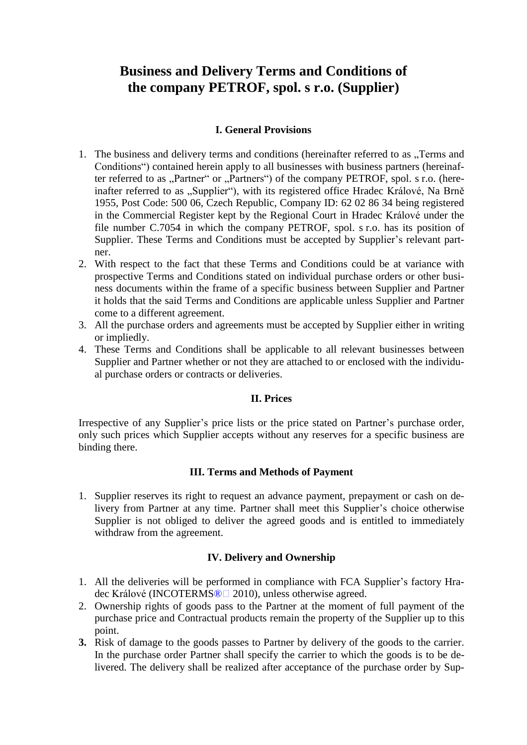# **Business and Delivery Terms and Conditions of the company PETROF, spol. s r.o. (Supplier)**

## **I. General Provisions**

- 1. The business and delivery terms and conditions (hereinafter referred to as "Terms and Conditions") contained herein apply to all businesses with business partners (hereinafter referred to as "Partner" or "Partners") of the company PETROF, spol. s r.o. (hereinafter referred to as "Supplier"), with its registered office Hradec Králové, Na Brně 1955, Post Code: 500 06, Czech Republic, Company ID: 62 02 86 34 being registered in the Commercial Register kept by the Regional Court in Hradec Králové under the file number C.7054 in which the company PETROF, spol. s r.o. has its position of Supplier. These Terms and Conditions must be accepted by Supplier's relevant partner.
- 2. With respect to the fact that these Terms and Conditions could be at variance with prospective Terms and Conditions stated on individual purchase orders or other business documents within the frame of a specific business between Supplier and Partner it holds that the said Terms and Conditions are applicable unless Supplier and Partner come to a different agreement.
- 3. All the purchase orders and agreements must be accepted by Supplier either in writing or impliedly.
- 4. These Terms and Conditions shall be applicable to all relevant businesses between Supplier and Partner whether or not they are attached to or enclosed with the individual purchase orders or contracts or deliveries.

### **II. Prices**

Irrespective of any Supplier's price lists or the price stated on Partner's purchase order, only such prices which Supplier accepts without any reserves for a specific business are binding there.

#### **III. Terms and Methods of Payment**

1. Supplier reserves its right to request an advance payment, prepayment or cash on delivery from Partner at any time. Partner shall meet this Supplier's choice otherwise Supplier is not obliged to deliver the agreed goods and is entitled to immediately withdraw from the agreement.

### **IV. Delivery and Ownership**

- 1. All the deliveries will be performed in compliance with FCA Supplier's factory Hradec Králové (INCOTERMS<sup>®</sup>□ 2010), unless otherwise agreed.
- 2. Ownership rights of goods pass to the Partner at the moment of full payment of the purchase price and Contractual products remain the property of the Supplier up to this point.
- **3.** Risk of damage to the goods passes to Partner by delivery of the goods to the carrier. In the purchase order Partner shall specify the carrier to which the goods is to be delivered. The delivery shall be realized after acceptance of the purchase order by Sup-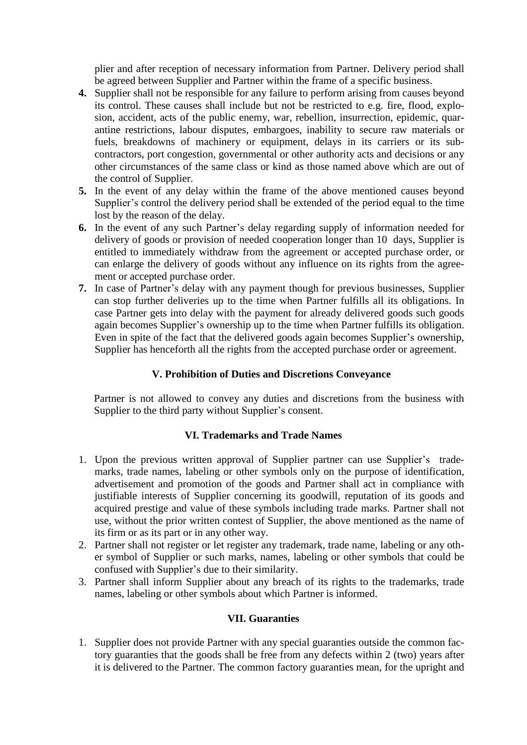plier and after reception of necessary information from Partner. Delivery period shall be agreed between Supplier and Partner within the frame of a specific business.

- **4.** Supplier shall not be responsible for any failure to perform arising from causes beyond its control. These causes shall include but not be restricted to e.g. fire, flood, explosion, accident, acts of the public enemy, war, rebellion, insurrection, epidemic, quarantine restrictions, labour disputes, embargoes, inability to secure raw materials or fuels, breakdowns of machinery or equipment, delays in its carriers or its subcontractors, port congestion, governmental or other authority acts and decisions or any other circumstances of the same class or kind as those named above which are out of the control of Supplier.
- **5.** In the event of any delay within the frame of the above mentioned causes beyond Supplier's control the delivery period shall be extended of the period equal to the time lost by the reason of the delay.
- **6.** In the event of any such Partner's delay regarding supply of information needed for delivery of goods or provision of needed cooperation longer than 10 days, Supplier is entitled to immediately withdraw from the agreement or accepted purchase order, or can enlarge the delivery of goods without any influence on its rights from the agreement or accepted purchase order.
- **7.** In case of Partner's delay with any payment though for previous businesses, Supplier can stop further deliveries up to the time when Partner fulfills all its obligations. In case Partner gets into delay with the payment for already delivered goods such goods again becomes Supplier's ownership up to the time when Partner fulfills its obligation. Even in spite of the fact that the delivered goods again becomes Supplier's ownership, Supplier has henceforth all the rights from the accepted purchase order or agreement.

### **V. Prohibition of Duties and Discretions Conveyance**

Partner is not allowed to convey any duties and discretions from the business with Supplier to the third party without Supplier's consent.

#### **VI. Trademarks and Trade Names**

- 1. Upon the previous written approval of Supplier partner can use Supplier's trademarks, trade names, labeling or other symbols only on the purpose of identification, advertisement and promotion of the goods and Partner shall act in compliance with justifiable interests of Supplier concerning its goodwill, reputation of its goods and acquired prestige and value of these symbols including trade marks. Partner shall not use, without the prior written contest of Supplier, the above mentioned as the name of its firm or as its part or in any other way.
- 2. Partner shall not register or let register any trademark, trade name, labeling or any other symbol of Supplier or such marks, names, labeling or other symbols that could be confused with Supplier's due to their similarity.
- 3. Partner shall inform Supplier about any breach of its rights to the trademarks, trade names, labeling or other symbols about which Partner is informed.

### **VII. Guaranties**

1. Supplier does not provide Partner with any special guaranties outside the common factory guaranties that the goods shall be free from any defects within 2 (two) years after it is delivered to the Partner. The common factory guaranties mean, for the upright and